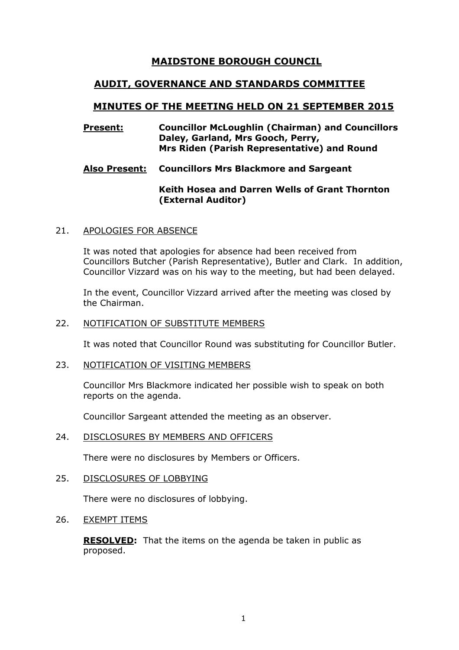# **MAIDSTONE BOROUGH COUNCIL**

# **AUDIT, GOVERNANCE AND STANDARDS COMMITTEE**

# **MINUTES OF THE MEETING HELD ON 21 SEPTEMBER 2015**

### **Present: Councillor McLoughlin (Chairman) and Councillors Daley, Garland, Mrs Gooch, Perry, Mrs Riden (Parish Representative) and Round**

# **Also Present: Councillors Mrs Blackmore and Sargeant**

## **Keith Hosea and Darren Wells of Grant Thornton (External Auditor)**

## 21. APOLOGIES FOR ABSENCE

It was noted that apologies for absence had been received from Councillors Butcher (Parish Representative), Butler and Clark. In addition, Councillor Vizzard was on his way to the meeting, but had been delayed.

In the event, Councillor Vizzard arrived after the meeting was closed by the Chairman.

### 22. NOTIFICATION OF SUBSTITUTE MEMBERS

It was noted that Councillor Round was substituting for Councillor Butler.

#### 23. NOTIFICATION OF VISITING MEMBERS

Councillor Mrs Blackmore indicated her possible wish to speak on both reports on the agenda.

Councillor Sargeant attended the meeting as an observer.

#### 24. DISCLOSURES BY MEMBERS AND OFFICERS

There were no disclosures by Members or Officers.

# 25. DISCLOSURES OF LOBBYING

There were no disclosures of lobbying.

#### 26. EXEMPT ITEMS

**RESOLVED:** That the items on the agenda be taken in public as proposed.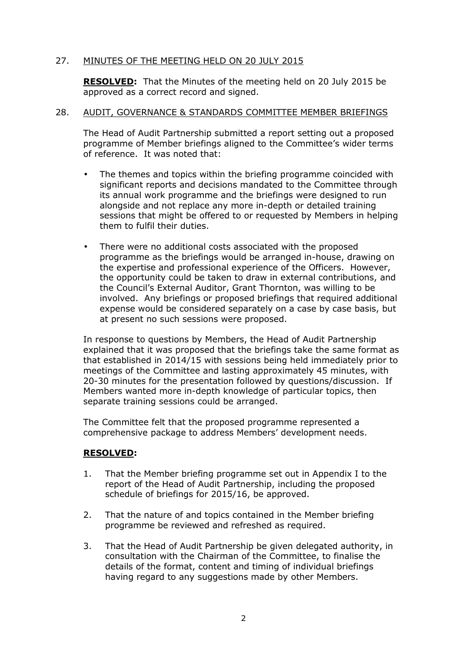# 27. MINUTES OF THE MEETING HELD ON 20 JULY 2015

**RESOLVED:** That the Minutes of the meeting held on 20 July 2015 be approved as a correct record and signed.

## 28. AUDIT, GOVERNANCE & STANDARDS COMMITTEE MEMBER BRIEFINGS

The Head of Audit Partnership submitted a report setting out a proposed programme of Member briefings aligned to the Committee's wider terms of reference. It was noted that:

- The themes and topics within the briefing programme coincided with significant reports and decisions mandated to the Committee through its annual work programme and the briefings were designed to run alongside and not replace any more in-depth or detailed training sessions that might be offered to or requested by Members in helping them to fulfil their duties.
- There were no additional costs associated with the proposed programme as the briefings would be arranged in-house, drawing on the expertise and professional experience of the Officers. However, the opportunity could be taken to draw in external contributions, and the Council's External Auditor, Grant Thornton, was willing to be involved. Any briefings or proposed briefings that required additional expense would be considered separately on a case by case basis, but at present no such sessions were proposed.

In response to questions by Members, the Head of Audit Partnership explained that it was proposed that the briefings take the same format as that established in 2014/15 with sessions being held immediately prior to meetings of the Committee and lasting approximately 45 minutes, with 20-30 minutes for the presentation followed by questions/discussion. If Members wanted more in-depth knowledge of particular topics, then separate training sessions could be arranged.

The Committee felt that the proposed programme represented a comprehensive package to address Members' development needs.

# **RESOLVED:**

- 1. That the Member briefing programme set out in Appendix I to the report of the Head of Audit Partnership, including the proposed schedule of briefings for 2015/16, be approved.
- 2. That the nature of and topics contained in the Member briefing programme be reviewed and refreshed as required.
- 3. That the Head of Audit Partnership be given delegated authority, in consultation with the Chairman of the Committee, to finalise the details of the format, content and timing of individual briefings having regard to any suggestions made by other Members.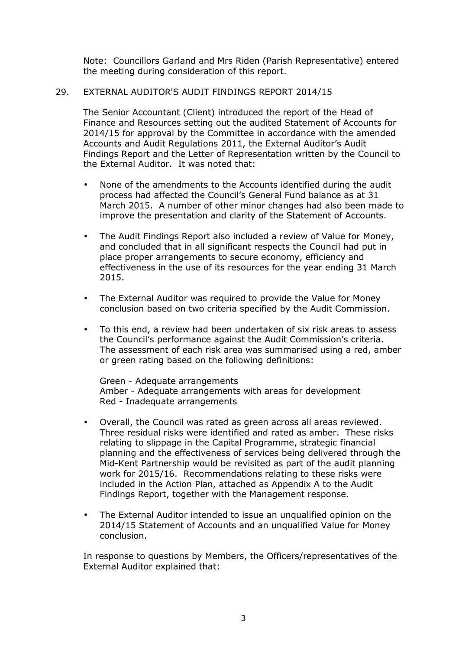Note: Councillors Garland and Mrs Riden (Parish Representative) entered the meeting during consideration of this report.

## 29. EXTERNAL AUDITOR'S AUDIT FINDINGS REPORT 2014/15

The Senior Accountant (Client) introduced the report of the Head of Finance and Resources setting out the audited Statement of Accounts for 2014/15 for approval by the Committee in accordance with the amended Accounts and Audit Regulations 2011, the External Auditor's Audit Findings Report and the Letter of Representation written by the Council to the External Auditor. It was noted that:

- None of the amendments to the Accounts identified during the audit process had affected the Council's General Fund balance as at 31 March 2015. A number of other minor changes had also been made to improve the presentation and clarity of the Statement of Accounts.
- The Audit Findings Report also included a review of Value for Money, and concluded that in all significant respects the Council had put in place proper arrangements to secure economy, efficiency and effectiveness in the use of its resources for the year ending 31 March 2015.
- The External Auditor was required to provide the Value for Money conclusion based on two criteria specified by the Audit Commission.
- To this end, a review had been undertaken of six risk areas to assess the Council's performance against the Audit Commission's criteria. The assessment of each risk area was summarised using a red, amber or green rating based on the following definitions:

Green - Adequate arrangements Amber - Adequate arrangements with areas for development Red - Inadequate arrangements

- Overall, the Council was rated as green across all areas reviewed. Three residual risks were identified and rated as amber. These risks relating to slippage in the Capital Programme, strategic financial planning and the effectiveness of services being delivered through the Mid-Kent Partnership would be revisited as part of the audit planning work for 2015/16. Recommendations relating to these risks were included in the Action Plan, attached as Appendix A to the Audit Findings Report, together with the Management response.
- The External Auditor intended to issue an unqualified opinion on the 2014/15 Statement of Accounts and an unqualified Value for Money conclusion.

In response to questions by Members, the Officers/representatives of the External Auditor explained that: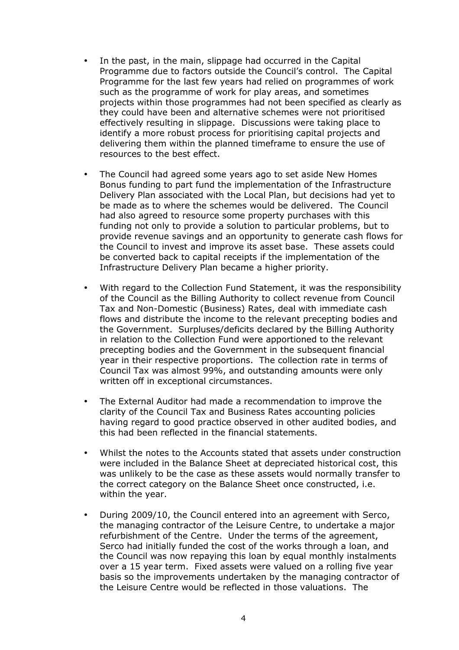- In the past, in the main, slippage had occurred in the Capital Programme due to factors outside the Council's control. The Capital Programme for the last few years had relied on programmes of work such as the programme of work for play areas, and sometimes projects within those programmes had not been specified as clearly as they could have been and alternative schemes were not prioritised effectively resulting in slippage. Discussions were taking place to identify a more robust process for prioritising capital projects and delivering them within the planned timeframe to ensure the use of resources to the best effect.
- The Council had agreed some years ago to set aside New Homes Bonus funding to part fund the implementation of the Infrastructure Delivery Plan associated with the Local Plan, but decisions had yet to be made as to where the schemes would be delivered. The Council had also agreed to resource some property purchases with this funding not only to provide a solution to particular problems, but to provide revenue savings and an opportunity to generate cash flows for the Council to invest and improve its asset base. These assets could be converted back to capital receipts if the implementation of the Infrastructure Delivery Plan became a higher priority.
- With regard to the Collection Fund Statement, it was the responsibility of the Council as the Billing Authority to collect revenue from Council Tax and Non-Domestic (Business) Rates, deal with immediate cash flows and distribute the income to the relevant precepting bodies and the Government. Surpluses/deficits declared by the Billing Authority in relation to the Collection Fund were apportioned to the relevant precepting bodies and the Government in the subsequent financial year in their respective proportions. The collection rate in terms of Council Tax was almost 99%, and outstanding amounts were only written off in exceptional circumstances.
- The External Auditor had made a recommendation to improve the clarity of the Council Tax and Business Rates accounting policies having regard to good practice observed in other audited bodies, and this had been reflected in the financial statements.
- Whilst the notes to the Accounts stated that assets under construction were included in the Balance Sheet at depreciated historical cost, this was unlikely to be the case as these assets would normally transfer to the correct category on the Balance Sheet once constructed, i.e. within the year.
- During 2009/10, the Council entered into an agreement with Serco, the managing contractor of the Leisure Centre, to undertake a major refurbishment of the Centre. Under the terms of the agreement, Serco had initially funded the cost of the works through a loan, and the Council was now repaying this loan by equal monthly instalments over a 15 year term. Fixed assets were valued on a rolling five year basis so the improvements undertaken by the managing contractor of the Leisure Centre would be reflected in those valuations. The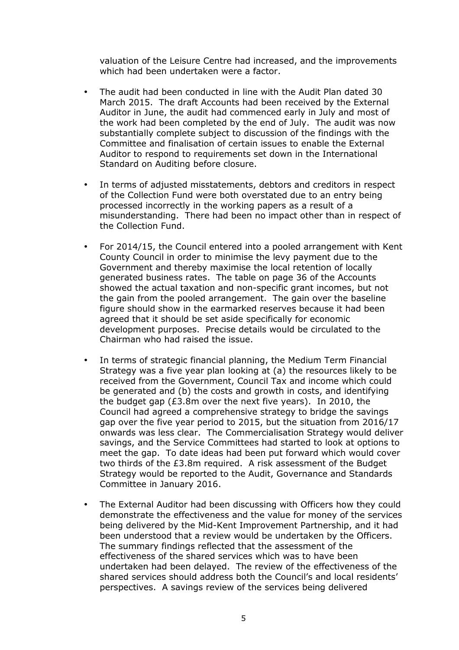valuation of the Leisure Centre had increased, and the improvements which had been undertaken were a factor.

- The audit had been conducted in line with the Audit Plan dated 30 March 2015. The draft Accounts had been received by the External Auditor in June, the audit had commenced early in July and most of the work had been completed by the end of July. The audit was now substantially complete subject to discussion of the findings with the Committee and finalisation of certain issues to enable the External Auditor to respond to requirements set down in the International Standard on Auditing before closure.
- In terms of adjusted misstatements, debtors and creditors in respect of the Collection Fund were both overstated due to an entry being processed incorrectly in the working papers as a result of a misunderstanding. There had been no impact other than in respect of the Collection Fund.
- For 2014/15, the Council entered into a pooled arrangement with Kent County Council in order to minimise the levy payment due to the Government and thereby maximise the local retention of locally generated business rates. The table on page 36 of the Accounts showed the actual taxation and non-specific grant incomes, but not the gain from the pooled arrangement. The gain over the baseline figure should show in the earmarked reserves because it had been agreed that it should be set aside specifically for economic development purposes. Precise details would be circulated to the Chairman who had raised the issue.
- In terms of strategic financial planning, the Medium Term Financial Strategy was a five year plan looking at (a) the resources likely to be received from the Government, Council Tax and income which could be generated and (b) the costs and growth in costs, and identifying the budget gap (£3.8m over the next five years). In 2010, the Council had agreed a comprehensive strategy to bridge the savings gap over the five year period to 2015, but the situation from 2016/17 onwards was less clear. The Commercialisation Strategy would deliver savings, and the Service Committees had started to look at options to meet the gap. To date ideas had been put forward which would cover two thirds of the £3.8m required. A risk assessment of the Budget Strategy would be reported to the Audit, Governance and Standards Committee in January 2016.
- The External Auditor had been discussing with Officers how they could demonstrate the effectiveness and the value for money of the services being delivered by the Mid-Kent Improvement Partnership, and it had been understood that a review would be undertaken by the Officers. The summary findings reflected that the assessment of the effectiveness of the shared services which was to have been undertaken had been delayed. The review of the effectiveness of the shared services should address both the Council's and local residents' perspectives. A savings review of the services being delivered